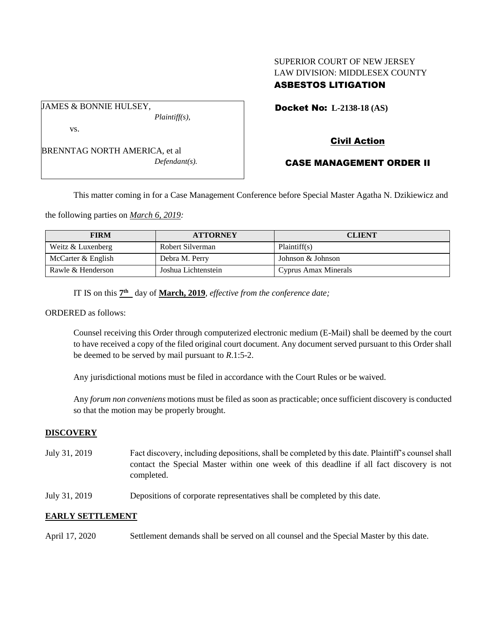## SUPERIOR COURT OF NEW JERSEY LAW DIVISION: MIDDLESEX COUNTY ASBESTOS LITIGATION

*Plaintiff(s),*

vs.

JAMES & BONNIE HULSEY,

BRENNTAG NORTH AMERICA, et al *Defendant(s).* Docket No: **L-2138-18 (AS)** 

# Civil Action

# CASE MANAGEMENT ORDER II

This matter coming in for a Case Management Conference before Special Master Agatha N. Dzikiewicz and

the following parties on *March 6, 2019:*

| <b>FIRM</b>        | <b>ATTORNEY</b>     | <b>CLIENT</b>        |
|--------------------|---------------------|----------------------|
| Weitz & Luxenberg  | Robert Silverman    | Plaintiff(s)         |
| McCarter & English | Debra M. Perry      | Johnson & Johnson    |
| Rawle & Henderson  | Joshua Lichtenstein | Cyprus Amax Minerals |

IT IS on this  $7<sup>th</sup>$  day of **March, 2019**, *effective from the conference date*;

ORDERED as follows:

Counsel receiving this Order through computerized electronic medium (E-Mail) shall be deemed by the court to have received a copy of the filed original court document. Any document served pursuant to this Order shall be deemed to be served by mail pursuant to *R*.1:5-2.

Any jurisdictional motions must be filed in accordance with the Court Rules or be waived.

Any *forum non conveniens* motions must be filed as soon as practicable; once sufficient discovery is conducted so that the motion may be properly brought.

## **DISCOVERY**

- July 31, 2019 Fact discovery, including depositions, shall be completed by this date. Plaintiff's counsel shall contact the Special Master within one week of this deadline if all fact discovery is not completed.
- July 31, 2019 Depositions of corporate representatives shall be completed by this date.

## **EARLY SETTLEMENT**

April 17, 2020 Settlement demands shall be served on all counsel and the Special Master by this date.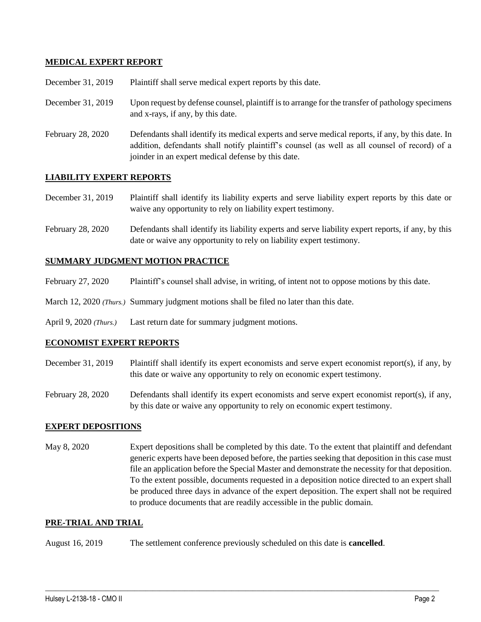## **MEDICAL EXPERT REPORT**

| December 31, 2019 | Plaintiff shall serve medical expert reports by this date. |
|-------------------|------------------------------------------------------------|
|-------------------|------------------------------------------------------------|

- December 31, 2019 Upon request by defense counsel, plaintiff is to arrange for the transfer of pathology specimens and x-rays, if any, by this date.
- February 28, 2020 Defendants shall identify its medical experts and serve medical reports, if any, by this date. In addition, defendants shall notify plaintiff's counsel (as well as all counsel of record) of a joinder in an expert medical defense by this date.

## **LIABILITY EXPERT REPORTS**

December 31, 2019 Plaintiff shall identify its liability experts and serve liability expert reports by this date or waive any opportunity to rely on liability expert testimony.

February 28, 2020 Defendants shall identify its liability experts and serve liability expert reports, if any, by this date or waive any opportunity to rely on liability expert testimony.

## **SUMMARY JUDGMENT MOTION PRACTICE**

- February 27, 2020 Plaintiff's counsel shall advise, in writing, of intent not to oppose motions by this date.
- March 12, 2020 *(Thurs.)* Summary judgment motions shall be filed no later than this date.
- April 9, 2020 *(Thurs.)* Last return date for summary judgment motions.

## **ECONOMIST EXPERT REPORTS**

- December 31, 2019 Plaintiff shall identify its expert economists and serve expert economist report(s), if any, by this date or waive any opportunity to rely on economic expert testimony.
- February 28, 2020 Defendants shall identify its expert economists and serve expert economist report(s), if any, by this date or waive any opportunity to rely on economic expert testimony.

## **EXPERT DEPOSITIONS**

May 8, 2020 Expert depositions shall be completed by this date. To the extent that plaintiff and defendant generic experts have been deposed before, the parties seeking that deposition in this case must file an application before the Special Master and demonstrate the necessity for that deposition. To the extent possible, documents requested in a deposition notice directed to an expert shall be produced three days in advance of the expert deposition. The expert shall not be required to produce documents that are readily accessible in the public domain.

 $\_$  ,  $\_$  ,  $\_$  ,  $\_$  ,  $\_$  ,  $\_$  ,  $\_$  ,  $\_$  ,  $\_$  ,  $\_$  ,  $\_$  ,  $\_$  ,  $\_$  ,  $\_$  ,  $\_$  ,  $\_$  ,  $\_$  ,  $\_$  ,  $\_$  ,  $\_$  ,  $\_$  ,  $\_$  ,  $\_$  ,  $\_$  ,  $\_$  ,  $\_$  ,  $\_$  ,  $\_$  ,  $\_$  ,  $\_$  ,  $\_$  ,  $\_$  ,  $\_$  ,  $\_$  ,  $\_$  ,  $\_$  ,  $\_$  ,

## **PRE-TRIAL AND TRIAL**

August 16, 2019 The settlement conference previously scheduled on this date is **cancelled**.